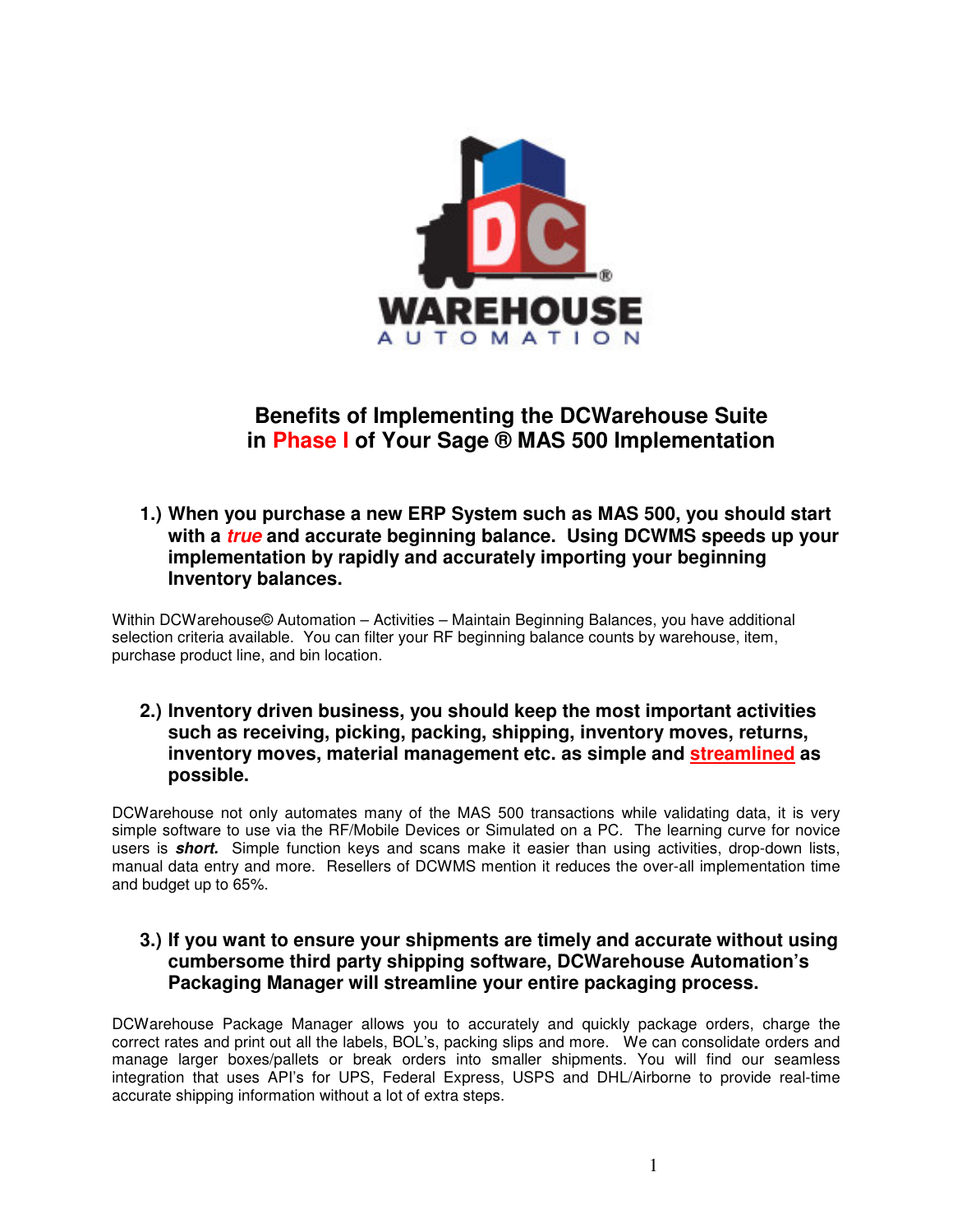

# **Benefits of Implementing the DCWarehouse Suite in Phase I of Your Sage ® MAS 500 Implementation**

#### **1.) When you purchase a new ERP System such as MAS 500, you should start with a** *true* **and accurate beginning balance. Using DCWMS speeds up your implementation by rapidly and accurately importing your beginning Inventory balances.**

Within DCWarehouse© Automation – Activities – Maintain Beginning Balances, you have additional selection criteria available. You can filter your RF beginning balance counts by warehouse, item, purchase product line, and bin location.

#### **2.) Inventory driven business, you should keep the most important activities such as receiving, picking, packing, shipping, inventory moves, returns, inventory moves, material management etc. as simple and streamlined as possible.**

DCWarehouse not only automates many of the MAS 500 transactions while validating data, it is very simple software to use via the RF/Mobile Devices or Simulated on a PC. The learning curve for novice users is *short.* Simple function keys and scans make it easier than using activities, drop-down lists, manual data entry and more. Resellers of DCWMS mention it reduces the over-all implementation time and budget up to 65%.

# **3.) If you want to ensure your shipments are timely and accurate without using cumbersome third party shipping software, DCWarehouse Automation's Packaging Manager will streamline your entire packaging process.**

DCWarehouse Package Manager allows you to accurately and quickly package orders, charge the correct rates and print out all the labels, BOL's, packing slips and more. We can consolidate orders and manage larger boxes/pallets or break orders into smaller shipments. You will find our seamless integration that uses API's for UPS, Federal Express, USPS and DHL/Airborne to provide real-time accurate shipping information without a lot of extra steps.